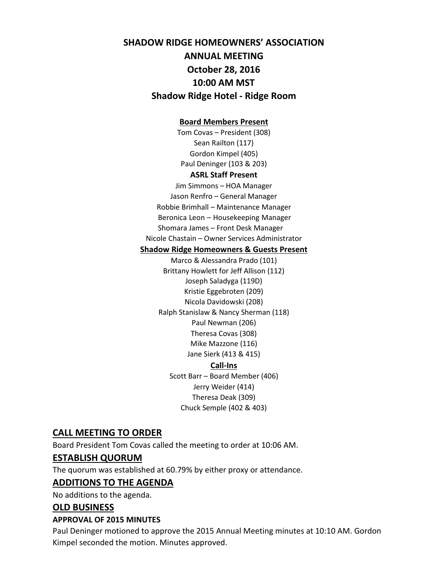# **SHADOW RIDGE HOMEOWNERS' ASSOCIATION ANNUAL MEETING October 28, 2016 10:00 AM MST Shadow Ridge Hotel - Ridge Room**

#### **Board Members Present**

Tom Covas – President (308) Sean Railton (117) Gordon Kimpel (405) Paul Deninger (103 & 203)

#### **ASRL Staff Present**

Jim Simmons – HOA Manager Jason Renfro – General Manager Robbie Brimhall – Maintenance Manager Beronica Leon – Housekeeping Manager Shomara James – Front Desk Manager Nicole Chastain – Owner Services Administrator

#### **Shadow Ridge Homeowners & Guests Present**

Marco & Alessandra Prado (101) Brittany Howlett for Jeff Allison (112) Joseph Saladyga (119D) Kristie Eggebroten (209) Nicola Davidowski (208) Ralph Stanislaw & Nancy Sherman (118) Paul Newman (206) Theresa Covas (308) Mike Mazzone (116) Jane Sierk (413 & 415) **Call-Ins** Scott Barr – Board Member (406) Jerry Weider (414) Theresa Deak (309) Chuck Semple (402 & 403)

#### **CALL MEETING TO ORDER**

Board President Tom Covas called the meeting to order at 10:06 AM.

#### **ESTABLISH QUORUM**

The quorum was established at 60.79% by either proxy or attendance.

#### **ADDITIONS TO THE AGENDA**

No additions to the agenda.

#### **OLD BUSINESS**

#### **APPROVAL OF 2015 MINUTES**

Paul Deninger motioned to approve the 2015 Annual Meeting minutes at 10:10 AM. Gordon Kimpel seconded the motion. Minutes approved.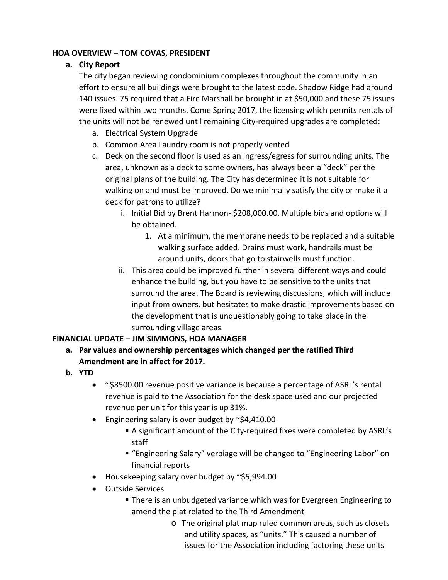#### **HOA OVERVIEW – TOM COVAS, PRESIDENT**

#### **a. City Report**

The city began reviewing condominium complexes throughout the community in an effort to ensure all buildings were brought to the latest code. Shadow Ridge had around 140 issues. 75 required that a Fire Marshall be brought in at \$50,000 and these 75 issues were fixed within two months. Come Spring 2017, the licensing which permits rentals of the units will not be renewed until remaining City-required upgrades are completed:

- a. Electrical System Upgrade
- b. Common Area Laundry room is not properly vented
- c. Deck on the second floor is used as an ingress/egress for surrounding units. The area, unknown as a deck to some owners, has always been a "deck" per the original plans of the building. The City has determined it is not suitable for walking on and must be improved. Do we minimally satisfy the city or make it a deck for patrons to utilize?
	- i. Initial Bid by Brent Harmon- \$208,000.00. Multiple bids and options will be obtained.
		- 1. At a minimum, the membrane needs to be replaced and a suitable walking surface added. Drains must work, handrails must be around units, doors that go to stairwells must function.
	- ii. This area could be improved further in several different ways and could enhance the building, but you have to be sensitive to the units that surround the area. The Board is reviewing discussions, which will include input from owners, but hesitates to make drastic improvements based on the development that is unquestionably going to take place in the surrounding village areas.

#### **FINANCIAL UPDATE – JIM SIMMONS, HOA MANAGER**

- **a. Par values and ownership percentages which changed per the ratified Third Amendment are in affect for 2017.**
- **b. YTD**
	- ~\$8500.00 revenue positive variance is because a percentage of ASRL's rental revenue is paid to the Association for the desk space used and our projected revenue per unit for this year is up 31%.
	- Engineering salary is over budget by  $\approx$ \$4,410.00
		- A significant amount of the City-required fixes were completed by ASRL's staff
		- "Engineering Salary" verbiage will be changed to "Engineering Labor" on financial reports
	- Housekeeping salary over budget by ~\$5,994.00
	- Outside Services
		- There is an unbudgeted variance which was for Evergreen Engineering to amend the plat related to the Third Amendment
			- o The original plat map ruled common areas, such as closets and utility spaces, as "units." This caused a number of issues for the Association including factoring these units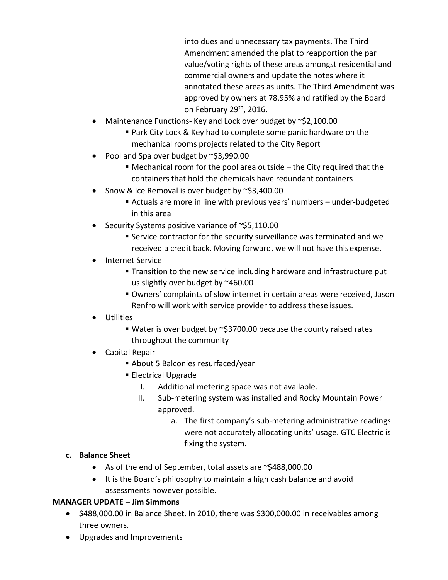into dues and unnecessary tax payments. The Third Amendment amended the plat to reapportion the par value/voting rights of these areas amongst residential and commercial owners and update the notes where it annotated these areas as units. The Third Amendment was approved by owners at 78.95% and ratified by the Board on February 29<sup>th</sup>, 2016.

- Maintenance Functions- Key and Lock over budget by ~\$2,100.00
	- Park City Lock & Key had to complete some panic hardware on the mechanical rooms projects related to the City Report
- Pool and Spa over budget by  $\approx$ \$3,990.00
	- $\blacksquare$  Mechanical room for the pool area outside the City required that the containers that hold the chemicals have redundant containers
- Snow & Ice Removal is over budget by ~\$3,400.00
	- Actuals are more in line with previous years' numbers under-budgeted in this area
- Security Systems positive variance of ~\$5,110.00
	- Service contractor for the security surveillance was terminated and we received a credit back. Moving forward, we will not have this expense.
- Internet Service
	- **Transition to the new service including hardware and infrastructure put** us slightly over budget by ~460.00
	- Owners' complaints of slow internet in certain areas were received, Jason Renfro will work with service provider to address these issues.
- Utilities
	- Water is over budget by  $\sim$ \$3700.00 because the county raised rates throughout the community
- Capital Repair
	- About 5 Balconies resurfaced/year
	- **Electrical Upgrade** 
		- I. Additional metering space was not available.
		- II. Sub-metering system was installed and Rocky Mountain Power approved.
			- a. The first company's sub-metering administrative readings were not accurately allocating units' usage. GTC Electric is fixing the system.

#### **c. Balance Sheet**

- As of the end of September, total assets are ~\$488,000.00
- It is the Board's philosophy to maintain a high cash balance and avoid assessments however possible.

#### **MANAGER UPDATE – Jim Simmons**

- \$488,000.00 in Balance Sheet. In 2010, there was \$300,000.00 in receivables among three owners.
- Upgrades and Improvements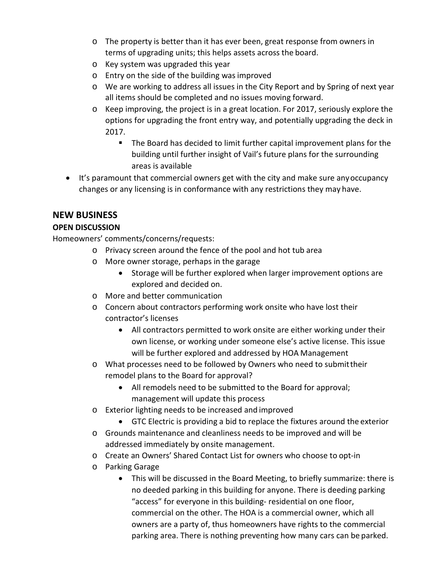- o The property is better than it has ever been, great response from owners in terms of upgrading units; this helps assets across the board.
- o Key system was upgraded this year
- o Entry on the side of the building wasimproved
- o We are working to address all issues in the City Report and by Spring of next year all items should be completed and no issues moving forward.
- o Keep improving, the project is in a great location. For 2017, seriously explore the options for upgrading the front entry way, and potentially upgrading the deck in 2017.
	- **The Board has decided to limit further capital improvement plans for the** building until further insight of Vail's future plans for the surrounding areas is available
- It's paramount that commercial owners get with the city and make sure any occupancy changes or any licensing is in conformance with any restrictions they may have.

## **NEW BUSINESS**

## **OPEN DISCUSSION**

Homeowners' comments/concerns/requests:

- o Privacy screen around the fence of the pool and hot tub area
- o More owner storage, perhaps in the garage
	- Storage will be further explored when larger improvement options are explored and decided on.
- o More and better communication
- o Concern about contractors performing work onsite who have lost their contractor's licenses
	- All contractors permitted to work onsite are either working under their own license, or working under someone else's active license. This issue will be further explored and addressed by HOA Management
- o What processes need to be followed by Owners who need to submittheir remodel plans to the Board for approval?
	- All remodels need to be submitted to the Board for approval; management will update this process
- o Exterior lighting needs to be increased and improved
	- GTC Electric is providing a bid to replace the fixtures around the exterior
- o Grounds maintenance and cleanliness needs to be improved and will be addressed immediately by onsite management.
- o Create an Owners' Shared Contact List for owners who choose to opt-in
- o Parking Garage
	- This will be discussed in the Board Meeting, to briefly summarize: there is no deeded parking in this building for anyone. There is deeding parking "access" for everyone in this building- residential on one floor, commercial on the other. The HOA is a commercial owner, which all owners are a party of, thus homeowners have rights to the commercial parking area. There is nothing preventing how many cars can be parked.